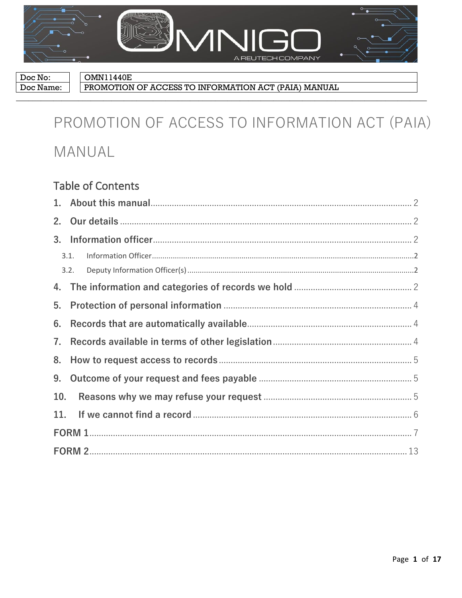

Doc No: Doc Name: **OMN11440E** 

PROMOTION OF ACCESS TO INFORMATION ACT (PAIA) MANUAL

# PROMOTION OF ACCESS TO INFORMATION ACT (PAIA) MANUAL

# **Table of Contents**

| 2.  |      |  |  |  |
|-----|------|--|--|--|
| 3.  |      |  |  |  |
|     | 3.1. |  |  |  |
|     | 3.2. |  |  |  |
|     |      |  |  |  |
| 5.  |      |  |  |  |
| 6.  |      |  |  |  |
| 7.  |      |  |  |  |
| 8.  |      |  |  |  |
| 9.  |      |  |  |  |
| 10. |      |  |  |  |
| 11. |      |  |  |  |
|     |      |  |  |  |
|     |      |  |  |  |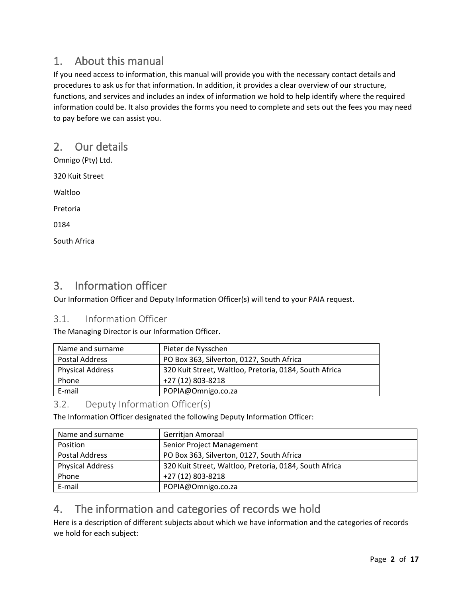# 1. About this manual

If you need access to information, this manual will provide you with the necessary contact details and procedures to ask us for that information. In addition, it provides a clear overview of our structure, functions, and services and includes an index of information we hold to help identify where the required information could be. It also provides the forms you need to complete and sets out the fees you may need to pay before we can assist you.

# 2. Our details

Omnigo (Pty) Ltd.

320 Kuit Street

Waltloo

Pretoria

0184

South Africa

# 3. Information officer

Our Information Officer and Deputy Information Officer(s) will tend to your PAIA request.

## 3.1. Information Officer

The Managing Director is our Information Officer.

| Name and surname        | Pieter de Nysschen                                     |
|-------------------------|--------------------------------------------------------|
| Postal Address          | PO Box 363, Silverton, 0127, South Africa              |
| <b>Physical Address</b> | 320 Kuit Street, Waltloo, Pretoria, 0184, South Africa |
| Phone                   | +27 (12) 803-8218                                      |
| E-mail                  | POPIA@Omnigo.co.za                                     |

## 3.2. Deputy Information Officer(s)

The Information Officer designated the following Deputy Information Officer:

| Name and surname        | Gerritjan Amoraal                                      |
|-------------------------|--------------------------------------------------------|
| Position                | Senior Project Management                              |
| <b>Postal Address</b>   | PO Box 363, Silverton, 0127, South Africa              |
| <b>Physical Address</b> | 320 Kuit Street, Waltloo, Pretoria, 0184, South Africa |
| Phone                   | +27 (12) 803-8218                                      |
| E-mail                  | POPIA@Omnigo.co.za                                     |

# 4. The information and categories of records we hold

Here is a description of different subjects about which we have information and the categories of records we hold for each subject: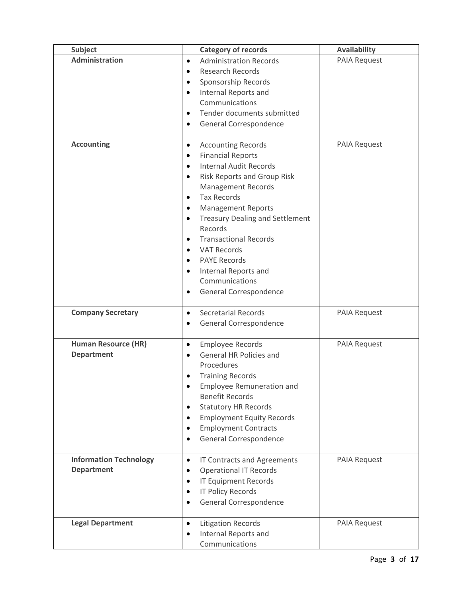| <b>Subject</b>                | <b>Category of records</b>                                                          | <b>Availability</b> |
|-------------------------------|-------------------------------------------------------------------------------------|---------------------|
| <b>Administration</b>         | <b>Administration Records</b><br>$\bullet$                                          | PAIA Request        |
|                               | <b>Research Records</b><br>$\bullet$                                                |                     |
|                               | Sponsorship Records<br>$\bullet$                                                    |                     |
|                               | Internal Reports and<br>$\bullet$                                                   |                     |
|                               | Communications                                                                      |                     |
|                               | Tender documents submitted<br>$\bullet$                                             |                     |
|                               | General Correspondence<br>$\bullet$                                                 |                     |
|                               |                                                                                     |                     |
| <b>Accounting</b>             | <b>Accounting Records</b><br>$\bullet$                                              | PAIA Request        |
|                               | <b>Financial Reports</b><br>$\bullet$<br><b>Internal Audit Records</b><br>$\bullet$ |                     |
|                               | <b>Risk Reports and Group Risk</b><br>$\bullet$                                     |                     |
|                               | <b>Management Records</b>                                                           |                     |
|                               | <b>Tax Records</b><br>$\bullet$                                                     |                     |
|                               | <b>Management Reports</b><br>٠                                                      |                     |
|                               | <b>Treasury Dealing and Settlement</b><br>$\bullet$                                 |                     |
|                               | Records                                                                             |                     |
|                               | <b>Transactional Records</b><br>$\bullet$                                           |                     |
|                               | <b>VAT Records</b><br>$\bullet$                                                     |                     |
|                               | <b>PAYE Records</b><br>$\bullet$                                                    |                     |
|                               | Internal Reports and<br>$\bullet$                                                   |                     |
|                               | Communications                                                                      |                     |
|                               | General Correspondence<br>$\bullet$                                                 |                     |
| <b>Company Secretary</b>      | <b>Secretarial Records</b><br>$\bullet$                                             | <b>PAIA Request</b> |
|                               | General Correspondence<br>$\bullet$                                                 |                     |
|                               |                                                                                     |                     |
| <b>Human Resource (HR)</b>    | <b>Employee Records</b><br>$\bullet$                                                | PAIA Request        |
| <b>Department</b>             | General HR Policies and<br>$\bullet$                                                |                     |
|                               | Procedures                                                                          |                     |
|                               | <b>Training Records</b>                                                             |                     |
|                               | <b>Employee Remuneration and</b><br>$\bullet$                                       |                     |
|                               | <b>Benefit Records</b>                                                              |                     |
|                               | <b>Statutory HR Records</b><br>٠                                                    |                     |
|                               | <b>Employment Equity Records</b>                                                    |                     |
|                               | <b>Employment Contracts</b>                                                         |                     |
|                               | General Correspondence                                                              |                     |
| <b>Information Technology</b> | IT Contracts and Agreements<br>$\bullet$                                            | PAIA Request        |
| <b>Department</b>             | <b>Operational IT Records</b><br>$\bullet$                                          |                     |
|                               | <b>IT Equipment Records</b>                                                         |                     |
|                               | <b>IT Policy Records</b><br>$\bullet$                                               |                     |
|                               | General Correspondence                                                              |                     |
|                               |                                                                                     |                     |
| <b>Legal Department</b>       | <b>Litigation Records</b><br>$\bullet$                                              | PAIA Request        |
|                               | Internal Reports and                                                                |                     |
|                               | Communications                                                                      |                     |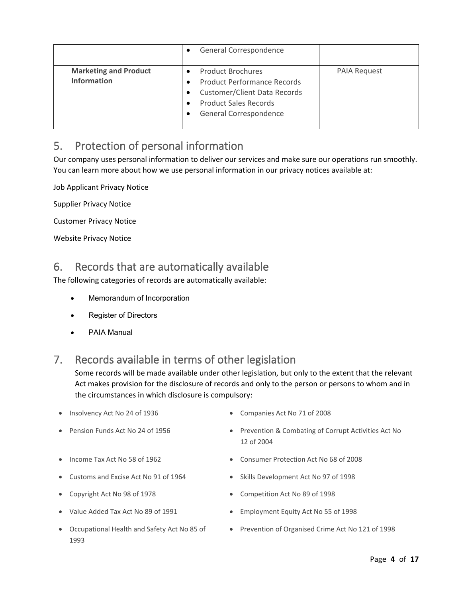|                                                    | General Correspondence<br>$\bullet$                                                                                                                                                                 |                     |
|----------------------------------------------------|-----------------------------------------------------------------------------------------------------------------------------------------------------------------------------------------------------|---------------------|
| <b>Marketing and Product</b><br><b>Information</b> | <b>Product Brochures</b><br><b>Product Performance Records</b><br>٠<br><b>Customer/Client Data Records</b><br>$\bullet$<br><b>Product Sales Records</b><br>٠<br>General Correspondence<br>$\bullet$ | <b>PAIA Request</b> |

# 5. Protection of personal information

Our company uses personal information to deliver our services and make sure our operations run smoothly. You can learn more about how we use personal information in our privacy notices available at:

Job Applicant Privacy Notice

Supplier Privacy Notice

Customer Privacy Notice

Website Privacy Notice

# 6. Records that are automatically available

The following categories of records are automatically available:

- Memorandum of Incorporation
- **Register of Directors**
- PAIA Manual

# 7. Records available in terms of other legislation

Some records will be made available under other legislation, but only to the extent that the relevant Act makes provision for the disclosure of records and only to the person or persons to whom and in the circumstances in which disclosure is compulsory:

- Insolvency Act No 24 of 1936 Companies Act No 71 of 2008
- 
- 
- 
- 
- 
- Occupational Health and Safety Act No 85 of 1993
- 
- Pension Funds Act No 24 of 1956 Prevention & Combating of Corrupt Activities Act No 12 of 2004
- Income Tax Act No 58 of 1962
	- Customs and Excise Act No 91 of 1964 Skills Development Act No 97 of 1998
- Copyright Act No 98 of 1978 Competition Act No 89 of 1998
- Value Added Tax Act No 89 of 1991 Employment Equity Act No 55 of 1998
	- Prevention of Organised Crime Act No 121 of 1998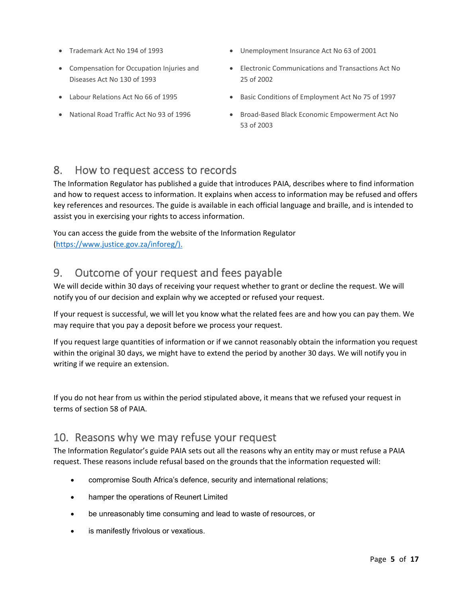- 
- Compensation for Occupation Injuries and Diseases Act No 130 of 1993
- 
- 
- Trademark Act No 194 of 1993 Unemployment Insurance Act No 63 of 2001
	- Electronic Communications and Transactions Act No 25 of 2002
- Labour Relations Act No 66 of 1995 Basic Conditions of Employment Act No 75 of 1997
	- National Road Traffic Act No 93 of 1996 Broad-Based Black Economic Empowerment Act No 53 of 2003

# 8. How to request access to records

The Information Regulator has published a guide that introduces PAIA, describes where to find information and how to request access to information. It explains when access to information may be refused and offers key references and resources. The guide is available in each official language and braille, and is intended to assist you in exercising your rights to access information.

You can access the guide from the website of the Information Regulator [\(https://www.justice.gov.za/inforeg/\)](https://www.justice.gov.za/inforeg/).

# 9. Outcome of your request and fees payable

We will decide within 30 days of receiving your request whether to grant or decline the request. We will notify you of our decision and explain why we accepted or refused your request.

If your request is successful, we will let you know what the related fees are and how you can pay them. We may require that you pay a deposit before we process your request.

If you request large quantities of information or if we cannot reasonably obtain the information you request within the original 30 days, we might have to extend the period by another 30 days. We will notify you in writing if we require an extension.

If you do not hear from us within the period stipulated above, it means that we refused your request in terms of section 58 of PAIA.

# 10. Reasons why we may refuse your request

The Information Regulator's guide PAIA sets out all the reasons why an entity may or must refuse a PAIA request. These reasons include refusal based on the grounds that the information requested will:

- compromise South Africa's defence, security and international relations;
- hamper the operations of Reunert Limited
- be unreasonably time consuming and lead to waste of resources, or
- is manifestly frivolous or vexatious.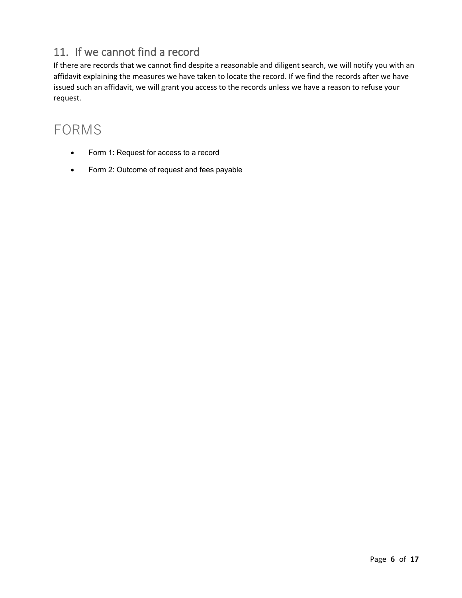# 11. If we cannot find a record

If there are records that we cannot find despite a reasonable and diligent search, we will notify you with an affidavit explaining the measures we have taken to locate the record. If we find the records after we have issued such an affidavit, we will grant you access to the records unless we have a reason to refuse your request.

# FORMS

- Form 1: Request for access to a record
- Form 2: Outcome of request and fees payable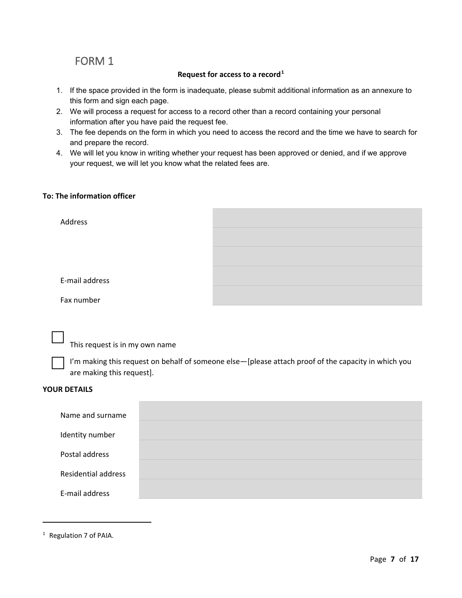# FORM 1

#### **Request for access to a record[1](#page-6-0)**

- 1. If the space provided in the form is inadequate, please submit additional information as an annexure to this form and sign each page.
- 2. We will process a request for access to a record other than a record containing your personal information after you have paid the request fee.
- 3. The fee depends on the form in which you need to access the record and the time we have to search for and prepare the record.
- 4. We will let you know in writing whether your request has been approved or denied, and if we approve your request, we will let you know what the related fees are.

### **To: The information officer**

| Address        |  |
|----------------|--|
|                |  |
|                |  |
| E-mail address |  |
| Fax number     |  |

This request is in my own name

I'm making this request on behalf of someone else-[please attach proof of the capacity in which you are making this request].

#### **YOUR DETAILS**

| Name and surname           |  |
|----------------------------|--|
| Identity number            |  |
| Postal address             |  |
| <b>Residential address</b> |  |
| E-mail address             |  |

<span id="page-6-0"></span><sup>1</sup> Regulation 7 of PAIA.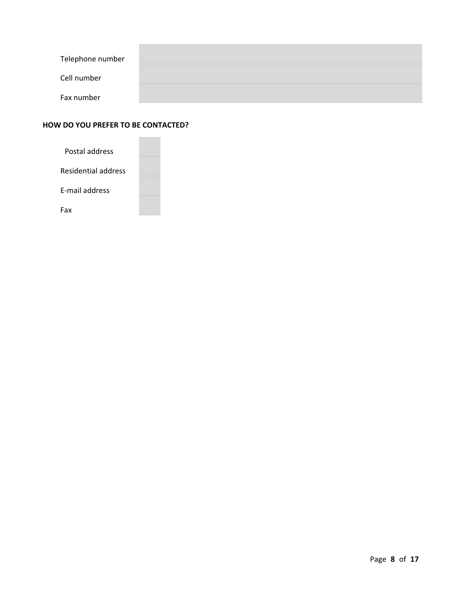| Telephone number |  |
|------------------|--|
| Cell number      |  |
| Fax number       |  |

### **HOW DO YOU PREFER TO BE CONTACTED?**

| Postal address        |  |
|-----------------------|--|
| Residential address   |  |
| <b>F-mail address</b> |  |
| Fax                   |  |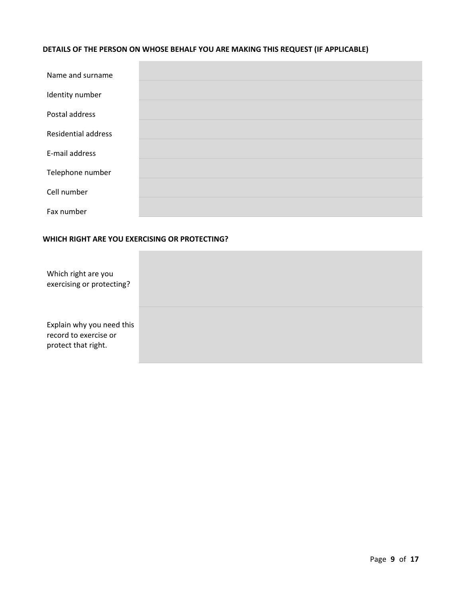## **DETAILS OF THE PERSON ON WHOSE BEHALF YOU ARE MAKING THIS REQUEST (IF APPLICABLE)**

| Name and surname           |  |
|----------------------------|--|
|                            |  |
| Identity number            |  |
|                            |  |
| Postal address             |  |
|                            |  |
| <b>Residential address</b> |  |
|                            |  |
| E-mail address             |  |
|                            |  |
| Telephone number           |  |
|                            |  |
| Cell number                |  |
|                            |  |
| Fax number                 |  |

### **WHICH RIGHT ARE YOU EXERCISING OR PROTECTING?**

| Which right are you<br>exercising or protecting?                          |  |
|---------------------------------------------------------------------------|--|
| Explain why you need this<br>record to exercise or<br>protect that right. |  |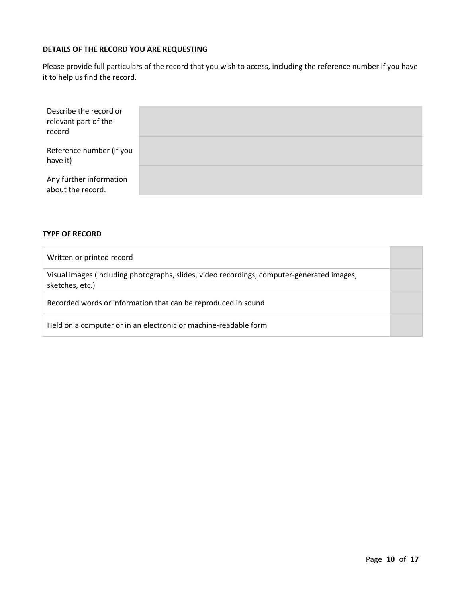### **DETAILS OF THE RECORD YOU ARE REQUESTING**

Please provide full particulars of the record that you wish to access, including the reference number if you have it to help us find the record.

| Describe the record or<br>relevant part of the<br>record |  |
|----------------------------------------------------------|--|
| Reference number (if you<br>have it)                     |  |
| Any further information<br>about the record.             |  |

#### **TYPE OF RECORD**

| Written or printed record                                                                                     |  |
|---------------------------------------------------------------------------------------------------------------|--|
| Visual images (including photographs, slides, video recordings, computer-generated images,<br>sketches, etc.) |  |
| Recorded words or information that can be reproduced in sound                                                 |  |
| Held on a computer or in an electronic or machine-readable form                                               |  |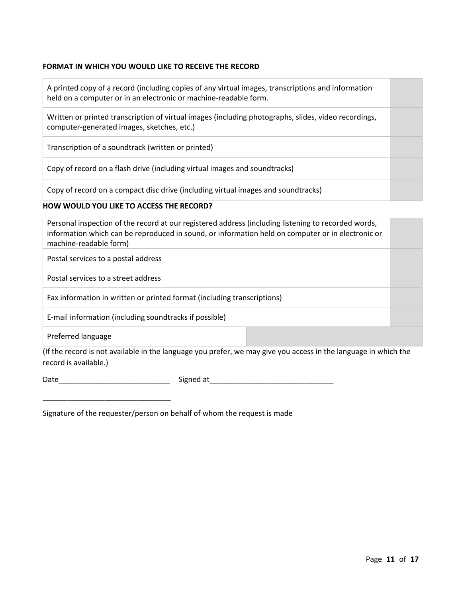### **FORMAT IN WHICH YOU WOULD LIKE TO RECEIVE THE RECORD**

A printed copy of a record (including copies of any virtual images, transcriptions and information held on a computer or in an electronic or machine-readable form.

Written or printed transcription of virtual images (including photographs, slides, video recordings, computer-generated images, sketches, etc.)

Transcription of a soundtrack (written or printed)

Copy of record on a flash drive (including virtual images and soundtracks)

Copy of record on a compact disc drive (including virtual images and soundtracks)

#### **HOW WOULD YOU LIKE TO ACCESS THE RECORD?**

| Personal inspection of the record at our registered address (including listening to recorded words,<br>information which can be reproduced in sound, or information held on computer or in electronic or<br>machine-readable form) |  |  |
|------------------------------------------------------------------------------------------------------------------------------------------------------------------------------------------------------------------------------------|--|--|
| Postal services to a postal address                                                                                                                                                                                                |  |  |
| Postal services to a street address                                                                                                                                                                                                |  |  |
| Fax information in written or printed format (including transcriptions)                                                                                                                                                            |  |  |
| E-mail information (including soundtracks if possible)                                                                                                                                                                             |  |  |
| Preferred language                                                                                                                                                                                                                 |  |  |

(If the record is not available in the language you prefer, we may give you access in the language in which the record is available.)

\_\_\_\_\_\_\_\_\_\_\_\_\_\_\_\_\_\_\_\_\_\_\_\_\_\_\_\_\_\_\_

Date\_\_\_\_\_\_\_\_\_\_\_\_\_\_\_\_\_\_\_\_\_\_\_\_\_\_\_ Signed at\_\_\_\_\_\_\_\_\_\_\_\_\_\_\_\_\_\_\_\_\_\_\_\_\_\_\_\_\_\_

Signature of the requester/person on behalf of whom the request is made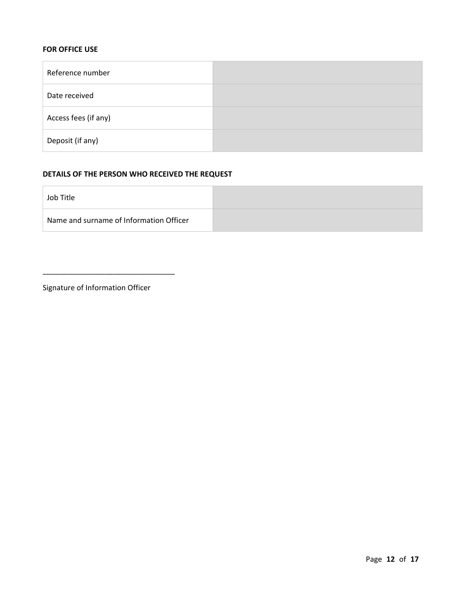### **FOR OFFICE USE**

| Reference number     |  |
|----------------------|--|
| Date received        |  |
| Access fees (if any) |  |
| Deposit (if any)     |  |

### **DETAILS OF THE PERSON WHO RECEIVED THE REQUEST**

| Job Title                               |  |
|-----------------------------------------|--|
| Name and surname of Information Officer |  |

Signature of Information Officer

\_\_\_\_\_\_\_\_\_\_\_\_\_\_\_\_\_\_\_\_\_\_\_\_\_\_\_\_\_\_\_\_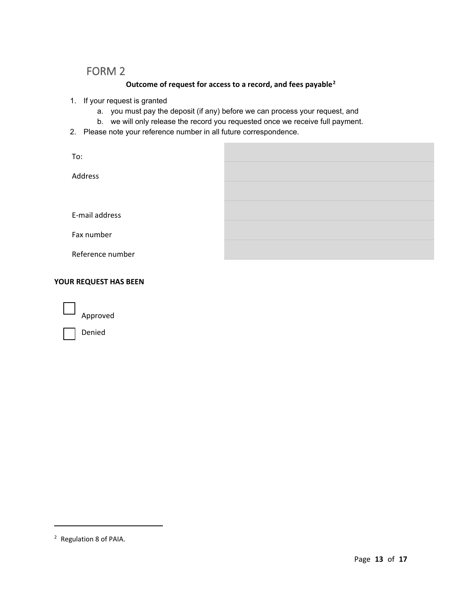# FORM 2

# **Outcome of request for access to a record, and fees payable[2](#page-12-0)**

- 1. If your request is granted
	- a. you must pay the deposit (if any) before we can process your request, and
	- b. we will only release the record you requested once we receive full payment.
- 2. Please note your reference number in all future correspondence.

| To:              |  |
|------------------|--|
| Address          |  |
|                  |  |
| E-mail address   |  |
|                  |  |
| Fax number       |  |
| Reference number |  |

### **YOUR REQUEST HAS BEEN**

Approved

Denied

<span id="page-12-0"></span><sup>2</sup> Regulation 8 of PAIA.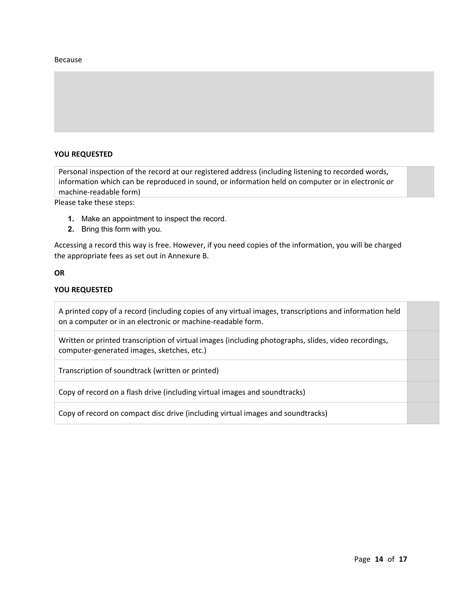#### Because

### **YOU REQUESTED**

Personal inspection of the record at our registered address (including listening to recorded words, information which can be reproduced in sound, or information held on computer or in electronic or machine-readable form)

Please take these steps:

- **1.** Make an appointment to inspect the record.
- **2.** Bring this form with you.

Accessing a record this way is free. However, if you need copies of the information, you will be charged the appropriate fees as set out in Annexure B.

#### **OR**

#### **YOU REQUESTED**

A printed copy of a record (including copies of any virtual images, transcriptions and information held on a computer or in an electronic or machine-readable form.

Written or printed transcription of virtual images (including photographs, slides, video recordings, computer-generated images, sketches, etc.)

Transcription of soundtrack (written or printed)

Copy of record on a flash drive (including virtual images and soundtracks)

Copy of record on compact disc drive (including virtual images and soundtracks)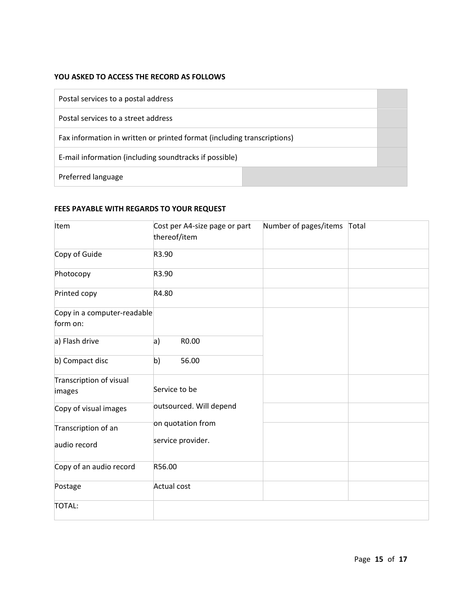### **YOU ASKED TO ACCESS THE RECORD AS FOLLOWS**

| Postal services to a postal address                                     |  |
|-------------------------------------------------------------------------|--|
| Postal services to a street address                                     |  |
| Fax information in written or printed format (including transcriptions) |  |
| E-mail information (including soundtracks if possible)                  |  |
| Preferred language                                                      |  |

### **FEES PAYABLE WITH REGARDS TO YOUR REQUEST**

| Item                                    | Cost per A4-size page or part<br>thereof/item | Number of pages/items | Total |
|-----------------------------------------|-----------------------------------------------|-----------------------|-------|
| Copy of Guide                           | R3.90                                         |                       |       |
| Photocopy                               | R3.90                                         |                       |       |
| Printed copy                            | R4.80                                         |                       |       |
| Copy in a computer-readable<br>form on: |                                               |                       |       |
| a) Flash drive                          | a)<br>R0.00                                   |                       |       |
| b) Compact disc                         | b)<br>56.00                                   |                       |       |
| Transcription of visual<br>images       | Service to be                                 |                       |       |
| Copy of visual images                   | outsourced. Will depend                       |                       |       |
| Transcription of an<br>audio record     | on quotation from<br>service provider.        |                       |       |
| Copy of an audio record                 | R56.00                                        |                       |       |
| Postage                                 | Actual cost                                   |                       |       |
| <b>TOTAL:</b>                           |                                               |                       |       |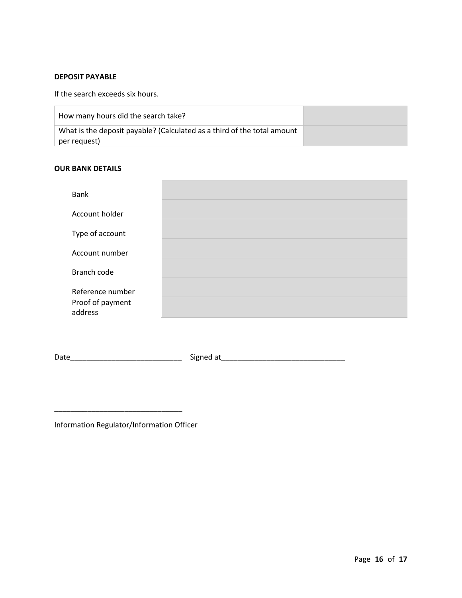### **DEPOSIT PAYABLE**

If the search exceeds six hours.

| How many hours did the search take?                                     |  |
|-------------------------------------------------------------------------|--|
| What is the deposit payable? (Calculated as a third of the total amount |  |
| per request)                                                            |  |

#### **OUR BANK DETAILS**

| Bank                        |  |
|-----------------------------|--|
| Account holder              |  |
| Type of account             |  |
|                             |  |
| Account number              |  |
| Branch code                 |  |
| Reference number            |  |
| Proof of payment<br>address |  |

Date\_\_\_\_\_\_\_\_\_\_\_\_\_\_\_\_\_\_\_\_\_\_\_\_\_\_\_ Signed at\_\_\_\_\_\_\_\_\_\_\_\_\_\_\_\_\_\_\_\_\_\_\_\_\_\_\_\_\_\_

Information Regulator/Information Officer

\_\_\_\_\_\_\_\_\_\_\_\_\_\_\_\_\_\_\_\_\_\_\_\_\_\_\_\_\_\_\_